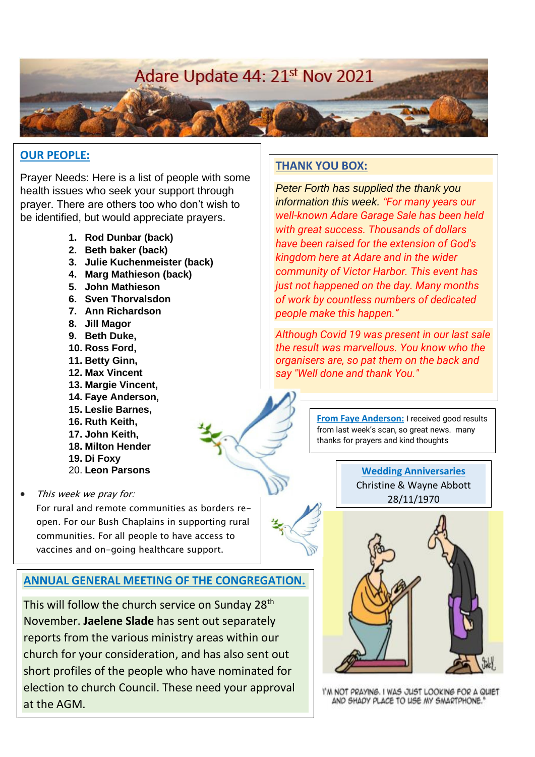# Adare Update 44: 21st Nov 2021

#### **OUR PEOPLE:**

Prayer Needs: Here is a list of people with some health issues who seek your support through prayer. There are others too who don't wish to be identified, but would appreciate prayers.

- **1. Rod Dunbar (back)**
- **2. Beth baker (back)**
- **3. Julie Kuchenmeister (back)**
- **4. Marg Mathieson (back)**
- **5. John Mathieson**
- **6. Sven Thorvalsdon**
- **7. Ann Richardson**
- **8. Jill Magor**
- **9. Beth Duke,**
- **10. Ross Ford,**
- **11. Betty Ginn,**
- **12. Max Vincent**
- **13. Margie Vincent,**
- **14. Faye Anderson,**
- **15. Leslie Barnes,**
- **16. Ruth Keith,**
- **17. John Keith,**
- **18. Milton Hender**
- **19. Di Foxy**
- 20. **Leon Parsons**
- This week we pray for:

For rural and remote communities as borders reopen. For our Bush Chaplains in supporting rural communities. For all people to have access to vaccines and on-going healthcare support.

## **ANNUAL GENERAL MEETING OF THE CONGREGATION.**

This will follow the church service on Sunday 28<sup>th</sup> November. **Jaelene Slade** has sent out separately reports from the various ministry areas within our church for your consideration, and has also sent out short profiles of the people who have nominated for election to church Council. These need your approval at the AGM.

#### **THANK YOU BOX:**

*Peter Forth has supplied the thank you information this week. "For many years our well-known Adare Garage Sale has been held with great success. Thousands of dollars have been raised for the extension of God's kingdom here at Adare and in the wider community of Victor Harbor. This event has just not happened on the day. Many months of work by countless numbers of dedicated people make this happen."*

*Although Covid 19 was present in our last sale the result was marvellous. You know who the organisers are, so pat them on the back and say "Well done and thank You."*

> **From Faye Anderson:** I received good results from last week's scan, so great news. many thanks for prayers and kind thoughts

> > **Wedding Anniversaries** Christine & Wayne Abbott 28/11/1970



I'M NOT PRAYING. I WAS JUST LOOKING FOR A QUIET AND SHADY PLACE TO USE MY SMARTPHONE."

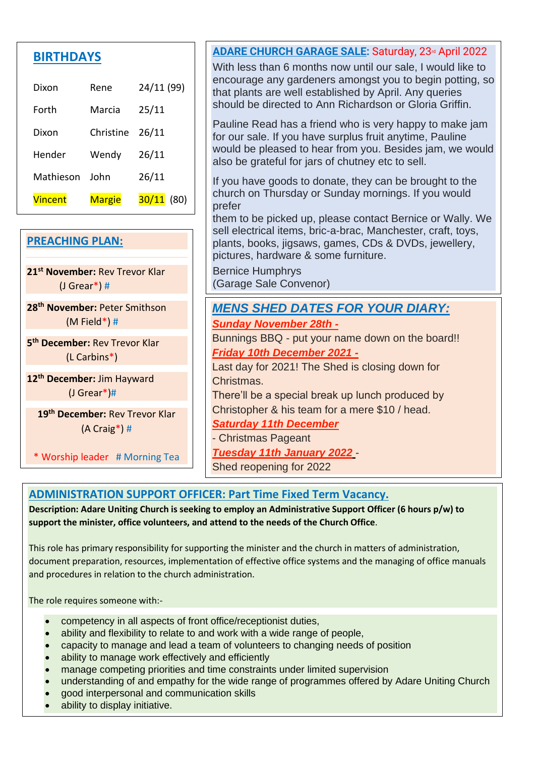| <b>RTHDA</b> |
|--------------|
|--------------|

| Dixon     | Rene          | 24/11 (99)    |
|-----------|---------------|---------------|
| Forth     | Marcia        | 25/11         |
| Dixon     | Christine     | 26/11         |
| Hender    | Wendy         | 26/11         |
| Mathieson | John          | 26/11         |
| Vincent   | <b>Margie</b> | 30/11<br>(80) |

# **PREACHING PLAN: 21st November:** Rev Trevor Klar (J Grear\*) # **28th November:** Peter Smithson (M Field\*) #

**5 th December:** Rev Trevor Klar (L Carbins\*)

**12th December:** Jim Hayward (J Grear\*)#

**19th December:** Rev Trevor Klar (A Craig\*) #

\* Worship leader # Morning Tea

#### **ADARE CHURCH GARAGE SALE:** Saturday, 23rd April 2022

With less than 6 months now until our sale. I would like to encourage any gardeners amongst you to begin potting, so that plants are well established by April. Any queries should be directed to Ann Richardson or Gloria Griffin.

Pauline Read has a friend who is very happy to make jam for our sale. If you have surplus fruit anytime, Pauline would be pleased to hear from you. Besides jam, we would also be grateful for jars of chutney etc to sell.

If you have goods to donate, they can be brought to the church on Thursday or Sunday mornings. If you would prefer

them to be picked up, please contact Bernice or Wally. We sell electrical items, bric-a-brac, Manchester, craft, toys, plants, books, jigsaws, games, CDs & DVDs, jewellery, pictures, hardware & some furniture.

Bernice Humphrys (Garage Sale Convenor)

# *MENS SHED DATES FOR YOUR DIARY: Sunday November 28th -*

Bunnings BBQ - put your name down on the board!! *Friday 10th December 2021 -*

Last day for 2021! The Shed is closing down for Christmas.

There'll be a special break up lunch produced by Christopher & his team for a mere \$10 / head.

*Saturday 11th December*

- Christmas Pageant

*Tuesday 11th January 2022* -

Shed reopening for 2022

## **ADMINISTRATION SUPPORT OFFICER: Part Time Fixed Term Vacancy.**

**Description: Adare Uniting Church is seeking to employ an Administrative Support Officer (6 hours p/w) to support the minister, office volunteers, and attend to the needs of the Church Office**.

This role has primary responsibility for supporting the minister and the church in matters of administration, document preparation, resources, implementation of effective office systems and the managing of office manuals and procedures in relation to the church administration.

The role requires someone with:-

- competency in all aspects of front office/receptionist duties,
- ability and flexibility to relate to and work with a wide range of people,
- capacity to manage and lead a team of volunteers to changing needs of position
- ability to manage work effectively and efficiently
- manage competing priorities and time constraints under limited supervision
- understanding of and empathy for the wide range of programmes offered by Adare Uniting Church

 $\overline{\phantom{a}}$  , understanding and competency in the use of technology in the model  $\overline{\phantom{a}}$ 

- good interpersonal and communication skills
- ability to display initiative.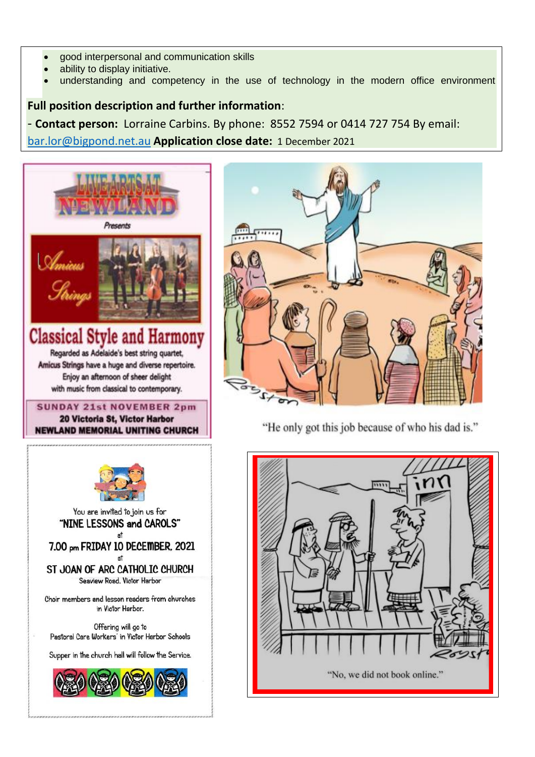- good interpersonal and communication skills
- ability to display initiative.
- understanding and competency in the use of technology in the modern office environment

## **Full position description and further information**:

- **Contact person:** Lorraine Carbins. By phone: 8552 7594 or 0414 727 754 By email: [bar.lor@bigpond.net.au](mailto:bar.lor@bigpond.net.au) **Application close date:** 1 December 2021





"He only got this job because of who his dad is."